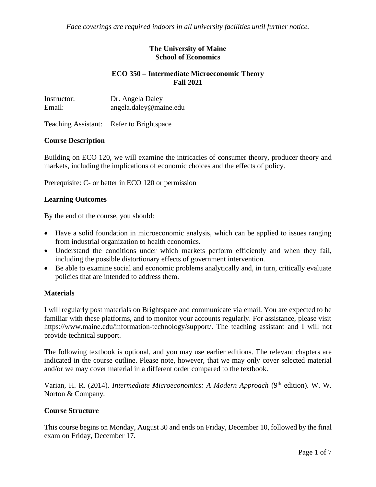*Face coverings are required indoors in all university facilities until further notice.*

#### **The University of Maine School of Economics**

### **ECO 350 – Intermediate Microeconomic Theory Fall 2021**

| Instructor: | Dr. Angela Daley       |
|-------------|------------------------|
| Email:      | angela.daley@maine.edu |

Teaching Assistant: Refer to Brightspace

### **Course Description**

Building on ECO 120, we will examine the intricacies of consumer theory, producer theory and markets, including the implications of economic choices and the effects of policy.

Prerequisite: C- or better in ECO 120 or permission

### **Learning Outcomes**

By the end of the course, you should:

- Have a solid foundation in microeconomic analysis, which can be applied to issues ranging from industrial organization to health economics.
- Understand the conditions under which markets perform efficiently and when they fail, including the possible distortionary effects of government intervention.
- Be able to examine social and economic problems analytically and, in turn, critically evaluate policies that are intended to address them.

#### **Materials**

I will regularly post materials on Brightspace and communicate via email. You are expected to be familiar with these platforms, and to monitor your accounts regularly. For assistance, please visit https://www.maine.edu/information-technology/support/. The teaching assistant and I will not provide technical support.

The following textbook is optional, and you may use earlier editions. The relevant chapters are indicated in the course outline. Please note, however, that we may only cover selected material and/or we may cover material in a different order compared to the textbook.

Varian, H. R. (2014). *Intermediate Microeconomics: A Modern Approach* (9<sup>th</sup> edition). W. W. Norton & Company.

#### **Course Structure**

This course begins on Monday, August 30 and ends on Friday, December 10, followed by the final exam on Friday, December 17.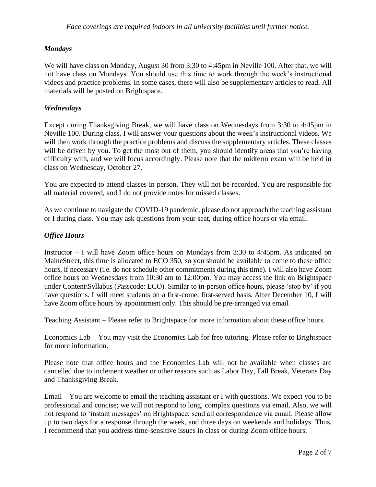## *Mondays*

We will have class on Monday, August 30 from 3:30 to 4:45pm in Neville 100. After that, we will not have class on Mondays. You should use this time to work through the week's instructional videos and practice problems. In some cases, there will also be supplementary articles to read. All materials will be posted on Brightspace.

### *Wednesdays*

Except during Thanksgiving Break, we will have class on Wednesdays from 3:30 to 4:45pm in Neville 100. During class, I will answer your questions about the week's instructional videos. We will then work through the practice problems and discuss the supplementary articles. These classes will be driven by you. To get the most out of them, you should identify areas that you're having difficulty with, and we will focus accordingly. Please note that the midterm exam will be held in class on Wednesday, October 27.

You are expected to attend classes in person. They will not be recorded. You are responsible for all material covered, and I do not provide notes for missed classes.

As we continue to navigate the COVID-19 pandemic, please do not approach the teaching assistant or I during class. You may ask questions from your seat, during office hours or via email.

## *Office Hours*

Instructor – I will have Zoom office hours on Mondays from 3:30 to 4:45pm. As indicated on MaineStreet, this time is allocated to ECO 350, so you should be available to come to these office hours, if necessary (i.e. do not schedule other commitments during this time). I will also have Zoom office hours on Wednesdays from 10:30 am to 12:00pm. You may access the link on Brightspace under Content\Syllabus (Passcode: ECO). Similar to in-person office hours, please 'stop by' if you have questions. I will meet students on a first-come, first-served basis. After December 10, I will have Zoom office hours by appointment only. This should be pre-arranged via email.

Teaching Assistant – Please refer to Brightspace for more information about these office hours.

Economics Lab – You may visit the Economics Lab for free tutoring. Please refer to Brightspace for more information.

Please note that office hours and the Economics Lab will not be available when classes are cancelled due to inclement weather or other reasons such as Labor Day, Fall Break, Veterans Day and Thanksgiving Break.

Email – You are welcome to email the teaching assistant or I with questions. We expect you to be professional and concise; we will not respond to long, complex questions via email. Also, we will not respond to 'instant messages' on Brightspace; send all correspondence via email. Please allow up to two days for a response through the week, and three days on weekends and holidays. Thus, I recommend that you address time-sensitive issues in class or during Zoom office hours.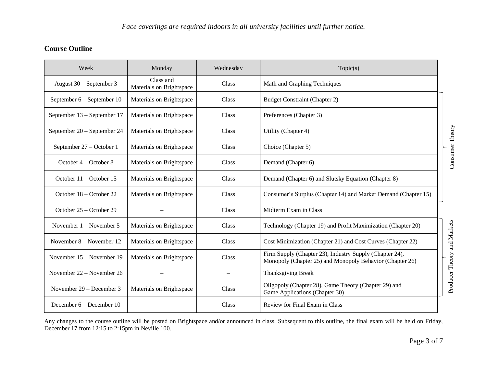# **Course Outline**

| Week                        | Monday                                | Wednesday | Topic(s)                                                                                                            |                             |
|-----------------------------|---------------------------------------|-----------|---------------------------------------------------------------------------------------------------------------------|-----------------------------|
| August 30 – September 3     | Class and<br>Materials on Brightspace | Class     | Math and Graphing Techniques                                                                                        |                             |
| September 6 – September 10  | Materials on Brightspace              | Class     | <b>Budget Constraint (Chapter 2)</b>                                                                                |                             |
| September 13 - September 17 | Materials on Brightspace              | Class     | Preferences (Chapter 3)                                                                                             |                             |
| September 20 - September 24 | Materials on Brightspace              | Class     | Utility (Chapter 4)                                                                                                 |                             |
| September 27 - October 1    | Materials on Brightspace              | Class     | Choice (Chapter 5)                                                                                                  | Consumer Theory             |
| October 4 – October 8       | Materials on Brightspace              | Class     | Demand (Chapter 6)                                                                                                  |                             |
| October $11 -$ October 15   | Materials on Brightspace              | Class     | Demand (Chapter 6) and Slutsky Equation (Chapter 8)                                                                 |                             |
| October 18 – October 22     | Materials on Brightspace              | Class     | Consumer's Surplus (Chapter 14) and Market Demand (Chapter 15)                                                      |                             |
| October 25 – October 29     |                                       | Class     | Midterm Exam in Class                                                                                               |                             |
| November $1 -$ November 5   | Materials on Brightspace              | Class     | Technology (Chapter 19) and Profit Maximization (Chapter 20)                                                        |                             |
| November $8 -$ November 12  | Materials on Brightspace              | Class     | Cost Minimization (Chapter 21) and Cost Curves (Chapter 22)                                                         |                             |
| November $15 -$ November 19 | Materials on Brightspace              | Class     | Firm Supply (Chapter 23), Industry Supply (Chapter 24),<br>Monopoly (Chapter 25) and Monopoly Behavior (Chapter 26) | Producer Theory and Markets |
| November 22 – November 26   |                                       |           | Thanksgiving Break                                                                                                  |                             |
| November $29 -$ December 3  | Materials on Brightspace              | Class     | Oligopoly (Chapter 28), Game Theory (Chapter 29) and<br>Game Applications (Chapter 30)                              |                             |
| December $6 -$ December 10  |                                       | Class     | Review for Final Exam in Class                                                                                      |                             |

Any changes to the course outline will be posted on Brightspace and/or announced in class. Subsequent to this outline, the final exam will be held on Friday, December 17 from 12:15 to 2:15pm in Neville 100.

Consumer Theory

Consumer Theory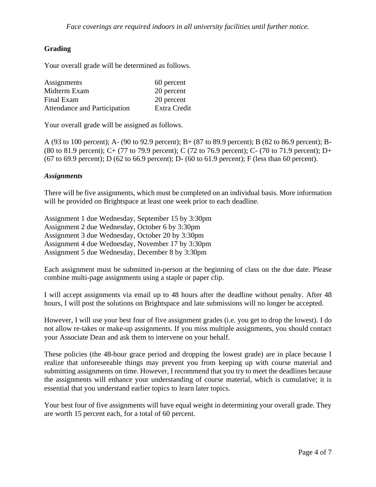## **Grading**

Your overall grade will be determined as follows.

| Assignments                  | 60 percent   |
|------------------------------|--------------|
| Midterm Exam                 | 20 percent   |
| Final Exam                   | 20 percent   |
| Attendance and Participation | Extra Credit |

Your overall grade will be assigned as follows.

A (93 to 100 percent); A- (90 to 92.9 percent); B+ (87 to 89.9 percent); B (82 to 86.9 percent); B- (80 to 81.9 percent); C+ (77 to 79.9 percent); C (72 to 76.9 percent); C- (70 to 71.9 percent); D+ (67 to 69.9 percent); D (62 to 66.9 percent); D- (60 to 61.9 percent); F (less than 60 percent).

#### *Assignments*

There will be five assignments, which must be completed on an individual basis. More information will be provided on Brightspace at least one week prior to each deadline.

Assignment 1 due Wednesday, September 15 by 3:30pm Assignment 2 due Wednesday, October 6 by 3:30pm Assignment 3 due Wednesday, October 20 by 3:30pm Assignment 4 due Wednesday, November 17 by 3:30pm Assignment 5 due Wednesday, December 8 by 3:30pm

Each assignment must be submitted in-person at the beginning of class on the due date. Please combine multi-page assignments using a staple or paper clip.

I will accept assignments via email up to 48 hours after the deadline without penalty. After 48 hours, I will post the solutions on Brightspace and late submissions will no longer be accepted.

However, I will use your best four of five assignment grades (i.e. you get to drop the lowest). I do not allow re-takes or make-up assignments. If you miss multiple assignments, you should contact your Associate Dean and ask them to intervene on your behalf.

These policies (the 48-hour grace period and dropping the lowest grade) are in place because I realize that unforeseeable things may prevent you from keeping up with course material and submitting assignments on time. However, I recommend that you try to meet the deadlines because the assignments will enhance your understanding of course material, which is cumulative; it is essential that you understand earlier topics to learn later topics.

Your best four of five assignments will have equal weight in determining your overall grade. They are worth 15 percent each, for a total of 60 percent.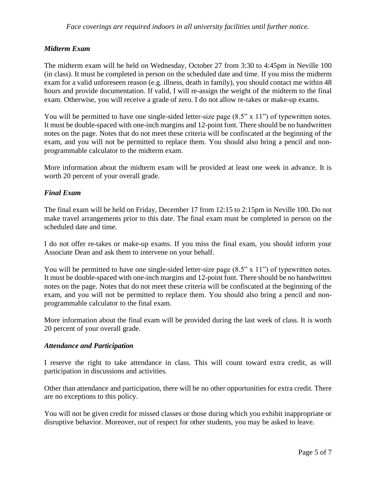### *Midterm Exam*

The midterm exam will be held on Wednesday, October 27 from 3:30 to 4:45pm in Neville 100 (in class). It must be completed in person on the scheduled date and time. If you miss the midterm exam for a valid unforeseen reason (e.g. illness, death in family), you should contact me within 48 hours and provide documentation. If valid, I will re-assign the weight of the midterm to the final exam. Otherwise, you will receive a grade of zero. I do not allow re-takes or make-up exams.

You will be permitted to have one single-sided letter-size page  $(8.5" \times 11")$  of typewritten notes. It must be double-spaced with one-inch margins and 12-point font. There should be no handwritten notes on the page. Notes that do not meet these criteria will be confiscated at the beginning of the exam, and you will not be permitted to replace them. You should also bring a pencil and nonprogrammable calculator to the midterm exam.

More information about the midterm exam will be provided at least one week in advance. It is worth 20 percent of your overall grade.

### *Final Exam*

The final exam will be held on Friday, December 17 from 12:15 to 2:15pm in Neville 100. Do not make travel arrangements prior to this date. The final exam must be completed in person on the scheduled date and time.

I do not offer re-takes or make-up exams. If you miss the final exam, you should inform your Associate Dean and ask them to intervene on your behalf.

You will be permitted to have one single-sided letter-size page  $(8.5" \times 11")$  of typewritten notes. It must be double-spaced with one-inch margins and 12-point font. There should be no handwritten notes on the page. Notes that do not meet these criteria will be confiscated at the beginning of the exam, and you will not be permitted to replace them. You should also bring a pencil and nonprogrammable calculator to the final exam.

More information about the final exam will be provided during the last week of class. It is worth 20 percent of your overall grade.

#### *Attendance and Participation*

I reserve the right to take attendance in class. This will count toward extra credit, as will participation in discussions and activities.

Other than attendance and participation, there will be no other opportunities for extra credit. There are no exceptions to this policy.

You will not be given credit for missed classes or those during which you exhibit inappropriate or disruptive behavior. Moreover, out of respect for other students, you may be asked to leave.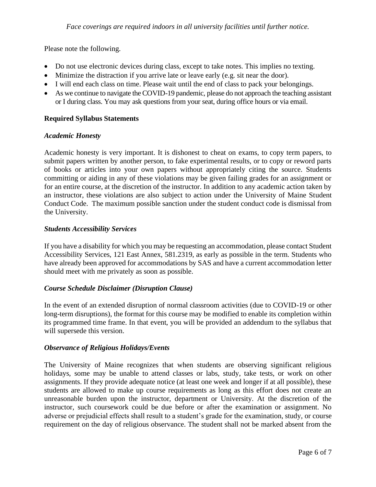Please note the following.

- Do not use electronic devices during class, except to take notes. This implies no texting.
- Minimize the distraction if you arrive late or leave early (e.g. sit near the door).
- I will end each class on time. Please wait until the end of class to pack your belongings.
- As we continue to navigate the COVID-19 pandemic, please do not approach the teaching assistant or I during class. You may ask questions from your seat, during office hours or via email.

## **Required Syllabus Statements**

### *Academic Honesty*

Academic honesty is very important. It is dishonest to cheat on exams, to copy term papers, to submit papers written by another person, to fake experimental results, or to copy or reword parts of books or articles into your own papers without appropriately citing the source. Students committing or aiding in any of these violations may be given failing grades for an assignment or for an entire course, at the discretion of the instructor. In addition to any academic action taken by an instructor, these violations are also subject to action under the University of Maine Student Conduct Code. The maximum possible sanction under the student conduct code is dismissal from the University.

### *Students Accessibility Services*

If you have a disability for which you may be requesting an accommodation, please contact Student Accessibility Services, 121 East Annex, 581.2319, as early as possible in the term. Students who have already been approved for accommodations by SAS and have a current accommodation letter should meet with me privately as soon as possible.

#### *Course Schedule Disclaimer (Disruption Clause)*

In the event of an extended disruption of normal classroom activities (due to COVID-19 or other long-term disruptions), the format for this course may be modified to enable its completion within its programmed time frame. In that event, you will be provided an addendum to the syllabus that will supersede this version.

#### *Observance of Religious Holidays/Events*

The University of Maine recognizes that when students are observing significant religious holidays, some may be unable to attend classes or labs, study, take tests, or work on other assignments. If they provide adequate notice (at least one week and longer if at all possible), these students are allowed to make up course requirements as long as this effort does not create an unreasonable burden upon the instructor, department or University. At the discretion of the instructor, such coursework could be due before or after the examination or assignment. No adverse or prejudicial effects shall result to a student's grade for the examination, study, or course requirement on the day of religious observance. The student shall not be marked absent from the